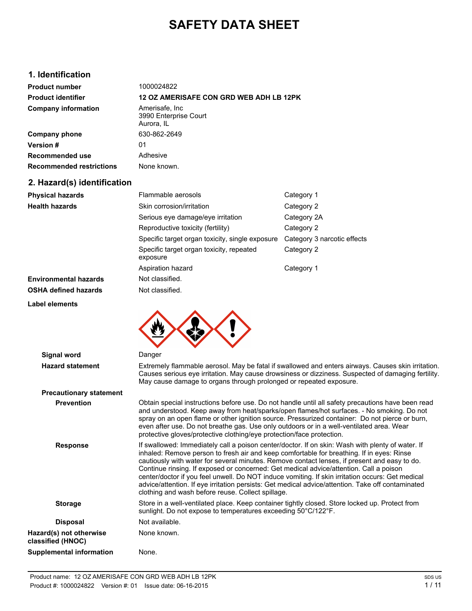# **SAFETY DATA SHEET**

# **1. Identification**

| <b>Product number</b>           | 1000024822                                             |
|---------------------------------|--------------------------------------------------------|
| <b>Product identifier</b>       | <b>12 OZ AMERISAFE CON GRD WEB ADH LB 12PK</b>         |
| <b>Company information</b>      | Amerisafe, Inc.<br>3990 Enterprise Court<br>Aurora, IL |
| Company phone                   | 630-862-2649                                           |
| <b>Version#</b>                 | 01                                                     |
| Recommended use                 | Adhesive                                               |
| <b>Recommended restrictions</b> | None known.                                            |

# **2. Hazard(s) identification**

**Label elements**

| <b>Physical hazards</b>      | Flammable aerosols                                   | Category 1                  |
|------------------------------|------------------------------------------------------|-----------------------------|
| <b>Health hazards</b>        | Skin corrosion/irritation                            | Category 2                  |
|                              | Serious eye damage/eye irritation                    | Category 2A                 |
|                              | Reproductive toxicity (fertility)                    | Category 2                  |
|                              | Specific target organ toxicity, single exposure      | Category 3 narcotic effects |
|                              | Specific target organ toxicity, repeated<br>exposure | Category 2                  |
|                              | Aspiration hazard                                    | Category 1                  |
| <b>Environmental hazards</b> | Not classified.                                      |                             |
| <b>OSHA defined hazards</b>  | Not classified.                                      |                             |



| Signal word                                  | Danger                                                                                                                                                                                                                                                                                                                                                                                                                                                                                                                                                                                                                                                |
|----------------------------------------------|-------------------------------------------------------------------------------------------------------------------------------------------------------------------------------------------------------------------------------------------------------------------------------------------------------------------------------------------------------------------------------------------------------------------------------------------------------------------------------------------------------------------------------------------------------------------------------------------------------------------------------------------------------|
| <b>Hazard statement</b>                      | Extremely flammable aerosol. May be fatal if swallowed and enters airways. Causes skin irritation.<br>Causes serious eye irritation. May cause drowsiness or dizziness. Suspected of damaging fertility.<br>May cause damage to organs through prolonged or repeated exposure.                                                                                                                                                                                                                                                                                                                                                                        |
| <b>Precautionary statement</b>               |                                                                                                                                                                                                                                                                                                                                                                                                                                                                                                                                                                                                                                                       |
| <b>Prevention</b>                            | Obtain special instructions before use. Do not handle until all safety precautions have been read<br>and understood. Keep away from heat/sparks/open flames/hot surfaces. - No smoking. Do not<br>spray on an open flame or other ignition source. Pressurized container: Do not pierce or burn,<br>even after use. Do not breathe gas. Use only outdoors or in a well-ventilated area. Wear<br>protective gloves/protective clothing/eye protection/face protection.                                                                                                                                                                                 |
| <b>Response</b>                              | If swallowed: Immediately call a poison center/doctor. If on skin: Wash with plenty of water. If<br>inhaled: Remove person to fresh air and keep comfortable for breathing. If in eyes: Rinse<br>cautiously with water for several minutes. Remove contact lenses, if present and easy to do.<br>Continue rinsing. If exposed or concerned: Get medical advice/attention. Call a poison<br>center/doctor if you feel unwell. Do NOT induce vomiting. If skin irritation occurs: Get medical<br>advice/attention. If eye irritation persists: Get medical advice/attention. Take off contaminated<br>clothing and wash before reuse. Collect spillage. |
| <b>Storage</b>                               | Store in a well-ventilated place. Keep container tightly closed. Store locked up. Protect from<br>sunlight. Do not expose to temperatures exceeding 50°C/122°F.                                                                                                                                                                                                                                                                                                                                                                                                                                                                                       |
| <b>Disposal</b>                              | Not available.                                                                                                                                                                                                                                                                                                                                                                                                                                                                                                                                                                                                                                        |
| Hazard(s) not otherwise<br>classified (HNOC) | None known.                                                                                                                                                                                                                                                                                                                                                                                                                                                                                                                                                                                                                                           |
| Supplemental information                     | None.                                                                                                                                                                                                                                                                                                                                                                                                                                                                                                                                                                                                                                                 |
|                                              |                                                                                                                                                                                                                                                                                                                                                                                                                                                                                                                                                                                                                                                       |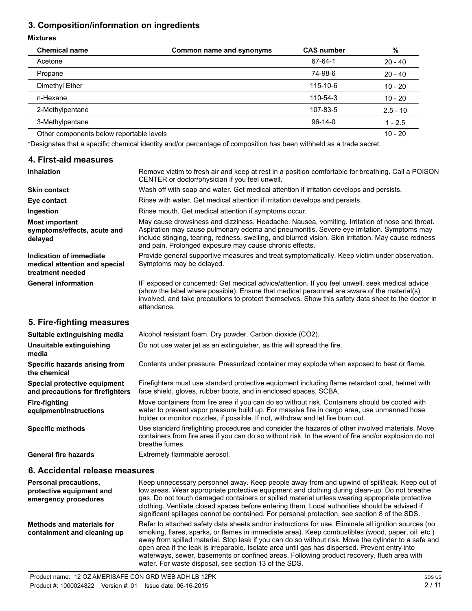# **3. Composition/information on ingredients**

#### **Mixtures**

| <b>Chemical name</b>                     | Common name and synonyms | <b>CAS number</b> | %          |
|------------------------------------------|--------------------------|-------------------|------------|
| Acetone                                  |                          | 67-64-1           | $20 - 40$  |
| Propane                                  |                          | 74-98-6           | $20 - 40$  |
| Dimethyl Ether                           |                          | 115-10-6          | $10 - 20$  |
| n-Hexane                                 |                          | 110-54-3          | $10 - 20$  |
| 2-Methylpentane                          |                          | 107-83-5          | $2.5 - 10$ |
| 3-Methylpentane                          |                          | $96-14-0$         | $1 - 2.5$  |
| Other components below reportable levels |                          |                   | $10 - 20$  |

\*Designates that a specific chemical identity and/or percentage of composition has been withheld as a trade secret.

## **4. First-aid measures**

| <b>Inhalation</b>                                                            | Remove victim to fresh air and keep at rest in a position comfortable for breathing. Call a POISON<br>CENTER or doctor/physician if you feel unwell.                                                                                                                                                                                                           |
|------------------------------------------------------------------------------|----------------------------------------------------------------------------------------------------------------------------------------------------------------------------------------------------------------------------------------------------------------------------------------------------------------------------------------------------------------|
| <b>Skin contact</b>                                                          | Wash off with soap and water. Get medical attention if irritation develops and persists.                                                                                                                                                                                                                                                                       |
| Eye contact                                                                  | Rinse with water. Get medical attention if irritation develops and persists.                                                                                                                                                                                                                                                                                   |
| Ingestion                                                                    | Rinse mouth. Get medical attention if symptoms occur.                                                                                                                                                                                                                                                                                                          |
| <b>Most important</b><br>symptoms/effects, acute and<br>delayed              | May cause drowsiness and dizziness. Headache. Nausea, vomiting. Irritation of nose and throat.<br>Aspiration may cause pulmonary edema and pneumonitis. Severe eye irritation. Symptoms may<br>include stinging, tearing, redness, swelling, and blurred vision. Skin irritation. May cause redness<br>and pain. Prolonged exposure may cause chronic effects. |
| Indication of immediate<br>medical attention and special<br>treatment needed | Provide general supportive measures and treat symptomatically. Keep victim under observation.<br>Symptoms may be delayed.                                                                                                                                                                                                                                      |
| <b>General information</b>                                                   | IF exposed or concerned: Get medical advice/attention. If you feel unwell, seek medical advice<br>(show the label where possible). Ensure that medical personnel are aware of the material(s)<br>involved, and take precautions to protect themselves. Show this safety data sheet to the doctor in<br>attendance.                                             |
| 5. Fire-fighting measures                                                    |                                                                                                                                                                                                                                                                                                                                                                |
| Suitable extinguishing media                                                 | Alcohol resistant foam. Dry powder. Carbon dioxide (CO2).                                                                                                                                                                                                                                                                                                      |
| Unsuitable extinguishing<br>media                                            | Do not use water jet as an extinguisher, as this will spread the fire.                                                                                                                                                                                                                                                                                         |
| Specific hazards arising from<br>the chemical                                | Contents under pressure. Pressurized container may explode when exposed to heat or flame.                                                                                                                                                                                                                                                                      |
| Special protective equipment                                                 | Firefighters must use standard protective equipment including flame retardant coat, helmet with                                                                                                                                                                                                                                                                |

**and precautions for firefighters**

**Fire-fighting equipment/instructions**

**Specific methods** Use standard firefighting procedures and consider the hazards of other involved materials. Move containers from fire area if you can do so without risk. In the event of fire and/or explosion do not breathe fumes.

face shield, gloves, rubber boots, and in enclosed spaces, SCBA.

holder or monitor nozzles, if possible. If not, withdraw and let fire burn out.

Move containers from fire area if you can do so without risk. Containers should be cooled with water to prevent vapor pressure build up. For massive fire in cargo area, use unmanned hose

General fire hazards **Extremely flammable aerosol.** 

## **6. Accidental release measures**

| <b>Personal precautions,</b><br>protective equipment and<br>emergency procedures | Keep unnecessary personnel away. Keep people away from and upwind of spill/leak. Keep out of<br>low areas. Wear appropriate protective equipment and clothing during clean-up. Do not breathe<br>gas. Do not touch damaged containers or spilled material unless wearing appropriate protective<br>clothing. Ventilate closed spaces before entering them. Local authorities should be advised if<br>significant spillages cannot be contained. For personal protection, see section 8 of the SDS.                                                                         |
|----------------------------------------------------------------------------------|----------------------------------------------------------------------------------------------------------------------------------------------------------------------------------------------------------------------------------------------------------------------------------------------------------------------------------------------------------------------------------------------------------------------------------------------------------------------------------------------------------------------------------------------------------------------------|
| Methods and materials for<br>containment and cleaning up                         | Refer to attached safety data sheets and/or instructions for use. Eliminate all ignition sources (no<br>smoking, flares, sparks, or flames in immediate area). Keep combustibles (wood, paper, oil, etc.)<br>away from spilled material. Stop leak if you can do so without risk. Move the cylinder to a safe and<br>open area if the leak is irreparable. Isolate area until gas has dispersed. Prevent entry into<br>waterways, sewer, basements or confined areas. Following product recovery, flush area with<br>water. For waste disposal, see section 13 of the SDS. |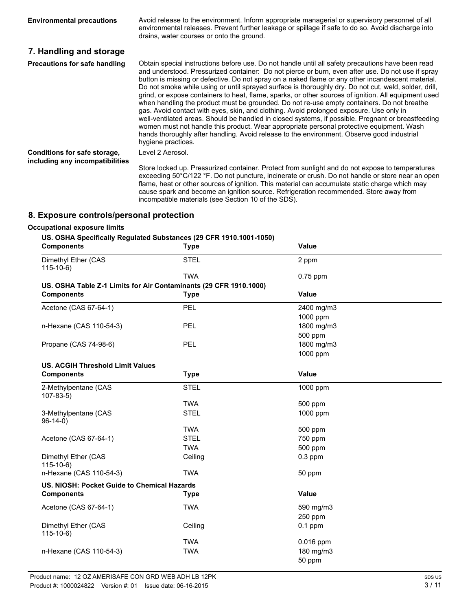**Environmental precautions** Avoid release to the environment. Inform appropriate managerial or supervisory personnel of all environmental releases. Prevent further leakage or spillage if safe to do so. Avoid discharge into drains, water courses or onto the ground. **7. Handling and storage Precautions for safe handling** Obtain special instructions before use. Do not handle until all safety precautions have been read and understood. Pressurized container: Do not pierce or burn, even after use. Do not use if spray

button is missing or defective. Do not spray on a naked flame or any other incandescent material. Do not smoke while using or until sprayed surface is thoroughly dry. Do not cut, weld, solder, drill, grind, or expose containers to heat, flame, sparks, or other sources of ignition. All equipment used when handling the product must be grounded. Do not re-use empty containers. Do not breathe gas. Avoid contact with eyes, skin, and clothing. Avoid prolonged exposure. Use only in well-ventilated areas. Should be handled in closed systems, if possible. Pregnant or breastfeeding women must not handle this product. Wear appropriate personal protective equipment. Wash hands thoroughly after handling. Avoid release to the environment. Observe good industrial hygiene practices. **Conditions for safe storage, including any incompatibilities** Level 2 Aerosol.

Store locked up. Pressurized container. Protect from sunlight and do not expose to temperatures exceeding 50°C/122 °F. Do not puncture, incinerate or crush. Do not handle or store near an open flame, heat or other sources of ignition. This material can accumulate static charge which may cause spark and become an ignition source. Refrigeration recommended. Store away from incompatible materials (see Section 10 of the SDS).

#### **8. Exposure controls/personal protection**

#### **Occupational exposure limits**

#### **US. OSHA Specifically Regulated Substances (29 CFR 1910.1001-1050)**

| 00. OOHA OPECHICAII) NEGUREEG OUDStANCES (20 OHN 1010.1001-1000)<br><b>Components</b> | <b>Type</b> | Value      |  |
|---------------------------------------------------------------------------------------|-------------|------------|--|
| Dimethyl Ether (CAS<br>$115-10-6$                                                     | <b>STEL</b> | 2 ppm      |  |
|                                                                                       | <b>TWA</b>  | $0.75$ ppm |  |
| US. OSHA Table Z-1 Limits for Air Contaminants (29 CFR 1910.1000)                     |             |            |  |
| <b>Components</b>                                                                     | <b>Type</b> | Value      |  |
| Acetone (CAS 67-64-1)                                                                 | PEL         | 2400 mg/m3 |  |
|                                                                                       |             | 1000 ppm   |  |
| n-Hexane (CAS 110-54-3)                                                               | PEL         | 1800 mg/m3 |  |
|                                                                                       |             | 500 ppm    |  |
| Propane (CAS 74-98-6)                                                                 | PEL         | 1800 mg/m3 |  |
|                                                                                       |             | 1000 ppm   |  |
| <b>US. ACGIH Threshold Limit Values</b>                                               |             |            |  |
| <b>Components</b>                                                                     | <b>Type</b> | Value      |  |
| 2-Methylpentane (CAS<br>$107 - 83 - 5$                                                | <b>STEL</b> | 1000 ppm   |  |
|                                                                                       | <b>TWA</b>  | 500 ppm    |  |
| 3-Methylpentane (CAS<br>$96-14-0)$                                                    | <b>STEL</b> | $1000$ ppm |  |
|                                                                                       | <b>TWA</b>  | 500 ppm    |  |
| Acetone (CAS 67-64-1)                                                                 | <b>STEL</b> | 750 ppm    |  |
|                                                                                       | <b>TWA</b>  | 500 ppm    |  |
| Dimethyl Ether (CAS<br>$115-10-6$                                                     | Ceiling     | $0.3$ ppm  |  |
| n-Hexane (CAS 110-54-3)                                                               | <b>TWA</b>  | 50 ppm     |  |
| US. NIOSH: Pocket Guide to Chemical Hazards                                           |             |            |  |
| <b>Components</b>                                                                     | <b>Type</b> | Value      |  |
| Acetone (CAS 67-64-1)                                                                 | <b>TWA</b>  | 590 mg/m3  |  |
|                                                                                       |             | 250 ppm    |  |
| Dimethyl Ether (CAS<br>$115-10-6$                                                     | Ceiling     | $0.1$ ppm  |  |
|                                                                                       | <b>TWA</b>  | 0.016 ppm  |  |
| n-Hexane (CAS 110-54-3)                                                               | <b>TWA</b>  | 180 mg/m3  |  |
|                                                                                       |             | 50 ppm     |  |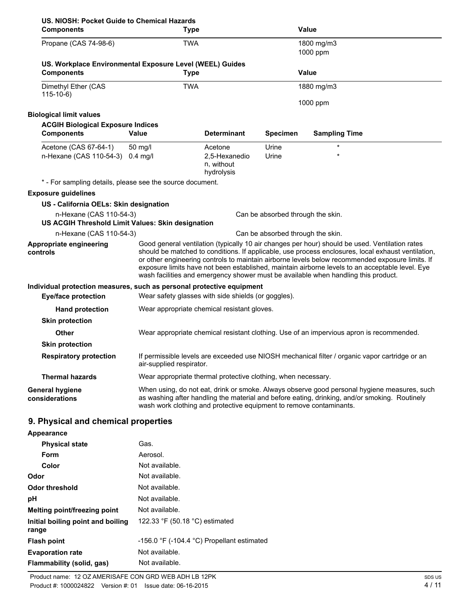| US. NIOSH: Pocket Guide to Chemical Hazards<br><b>Components</b>                                    | <b>Type</b>                                                         |                                           |                                   | <b>Value</b>                                                                                                                                                                                                                                                                                                                                                                                                                                                                                     |
|-----------------------------------------------------------------------------------------------------|---------------------------------------------------------------------|-------------------------------------------|-----------------------------------|--------------------------------------------------------------------------------------------------------------------------------------------------------------------------------------------------------------------------------------------------------------------------------------------------------------------------------------------------------------------------------------------------------------------------------------------------------------------------------------------------|
| Propane (CAS 74-98-6)                                                                               | <b>TWA</b>                                                          |                                           |                                   | 1800 mg/m3<br>1000 ppm                                                                                                                                                                                                                                                                                                                                                                                                                                                                           |
| US. Workplace Environmental Exposure Level (WEEL) Guides<br><b>Components</b>                       | <b>Type</b>                                                         |                                           |                                   | <b>Value</b>                                                                                                                                                                                                                                                                                                                                                                                                                                                                                     |
|                                                                                                     |                                                                     |                                           |                                   |                                                                                                                                                                                                                                                                                                                                                                                                                                                                                                  |
| Dimethyl Ether (CAS<br>$115-10-6$                                                                   | <b>TWA</b>                                                          |                                           |                                   | 1880 mg/m3                                                                                                                                                                                                                                                                                                                                                                                                                                                                                       |
|                                                                                                     |                                                                     |                                           |                                   | 1000 ppm                                                                                                                                                                                                                                                                                                                                                                                                                                                                                         |
| <b>Biological limit values</b>                                                                      |                                                                     |                                           |                                   |                                                                                                                                                                                                                                                                                                                                                                                                                                                                                                  |
| <b>ACGIH Biological Exposure Indices</b><br><b>Components</b>                                       | <b>Value</b>                                                        | <b>Determinant</b>                        | <b>Specimen</b>                   | <b>Sampling Time</b>                                                                                                                                                                                                                                                                                                                                                                                                                                                                             |
| Acetone (CAS 67-64-1)                                                                               | 50 mg/l                                                             | Acetone                                   | Urine                             | $\star$                                                                                                                                                                                                                                                                                                                                                                                                                                                                                          |
| n-Hexane (CAS 110-54-3) 0.4 mg/l                                                                    |                                                                     | 2,5-Hexanedio<br>n, without<br>hydrolysis | Urine                             |                                                                                                                                                                                                                                                                                                                                                                                                                                                                                                  |
| * - For sampling details, please see the source document.                                           |                                                                     |                                           |                                   |                                                                                                                                                                                                                                                                                                                                                                                                                                                                                                  |
| <b>Exposure guidelines</b>                                                                          |                                                                     |                                           |                                   |                                                                                                                                                                                                                                                                                                                                                                                                                                                                                                  |
| US - California OELs: Skin designation                                                              |                                                                     |                                           |                                   |                                                                                                                                                                                                                                                                                                                                                                                                                                                                                                  |
| n-Hexane (CAS 110-54-3)<br>US ACGIH Threshold Limit Values: Skin designation                        |                                                                     |                                           | Can be absorbed through the skin. |                                                                                                                                                                                                                                                                                                                                                                                                                                                                                                  |
| n-Hexane (CAS 110-54-3)                                                                             |                                                                     |                                           | Can be absorbed through the skin. |                                                                                                                                                                                                                                                                                                                                                                                                                                                                                                  |
| Appropriate engineering<br>controls                                                                 |                                                                     |                                           |                                   | Good general ventilation (typically 10 air changes per hour) should be used. Ventilation rates<br>should be matched to conditions. If applicable, use process enclosures, local exhaust ventilation,<br>or other engineering controls to maintain airborne levels below recommended exposure limits. If<br>exposure limits have not been established, maintain airborne levels to an acceptable level. Eye<br>wash facilities and emergency shower must be available when handling this product. |
| Individual protection measures, such as personal protective equipment<br><b>Eye/face protection</b> | Wear safety glasses with side shields (or goggles).                 |                                           |                                   |                                                                                                                                                                                                                                                                                                                                                                                                                                                                                                  |
| <b>Hand protection</b>                                                                              | Wear appropriate chemical resistant gloves.                         |                                           |                                   |                                                                                                                                                                                                                                                                                                                                                                                                                                                                                                  |
| <b>Skin protection</b>                                                                              |                                                                     |                                           |                                   |                                                                                                                                                                                                                                                                                                                                                                                                                                                                                                  |
| <b>Other</b>                                                                                        |                                                                     |                                           |                                   | Wear appropriate chemical resistant clothing. Use of an impervious apron is recommended.                                                                                                                                                                                                                                                                                                                                                                                                         |
| <b>Skin protection</b>                                                                              |                                                                     |                                           |                                   |                                                                                                                                                                                                                                                                                                                                                                                                                                                                                                  |
| <b>Respiratory protection</b>                                                                       | air-supplied respirator.                                            |                                           |                                   | If permissible levels are exceeded use NIOSH mechanical filter / organic vapor cartridge or an                                                                                                                                                                                                                                                                                                                                                                                                   |
| <b>Thermal hazards</b>                                                                              | Wear appropriate thermal protective clothing, when necessary.       |                                           |                                   |                                                                                                                                                                                                                                                                                                                                                                                                                                                                                                  |
| <b>General hygiene</b><br>considerations                                                            | wash work clothing and protective equipment to remove contaminants. |                                           |                                   | When using, do not eat, drink or smoke. Always observe good personal hygiene measures, such<br>as washing after handling the material and before eating, drinking, and/or smoking. Routinely                                                                                                                                                                                                                                                                                                     |
| 9. Physical and chemical properties                                                                 |                                                                     |                                           |                                   |                                                                                                                                                                                                                                                                                                                                                                                                                                                                                                  |
| Appearance                                                                                          |                                                                     |                                           |                                   |                                                                                                                                                                                                                                                                                                                                                                                                                                                                                                  |
| <b>Physical state</b>                                                                               | Gas.                                                                |                                           |                                   |                                                                                                                                                                                                                                                                                                                                                                                                                                                                                                  |
| Form                                                                                                | Aerosol.                                                            |                                           |                                   |                                                                                                                                                                                                                                                                                                                                                                                                                                                                                                  |

| Form                                       | Aerosol.                                                     |
|--------------------------------------------|--------------------------------------------------------------|
| Color                                      | Not available.                                               |
| Odor                                       | Not available.                                               |
| Odor threshold                             | Not available.                                               |
| рH                                         | Not available.                                               |
| Melting point/freezing point               | Not available.                                               |
| Initial boiling point and boiling<br>range | 122.33 °F (50.18 °C) estimated                               |
| <b>Flash point</b>                         | -156.0 $\degree$ F (-104.4 $\degree$ C) Propellant estimated |
| <b>Evaporation rate</b>                    | Not available.                                               |
| <b>Flammability (solid, gas)</b>           | Not available.                                               |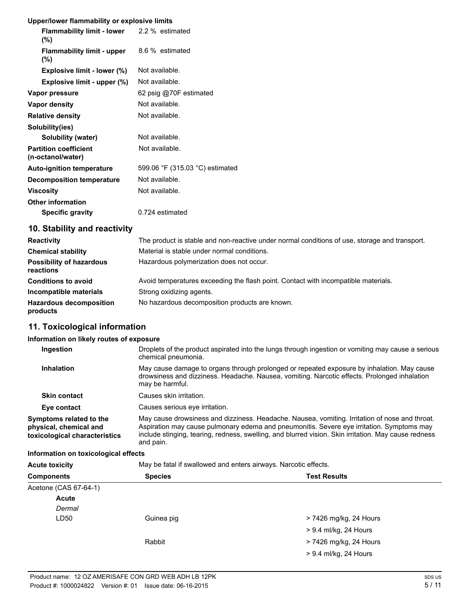## **Upper/lower flammability or explosive limits**

| <b>Flammability limit - lower</b> 2.2 % estimated<br>$(\%)$ |                                 |
|-------------------------------------------------------------|---------------------------------|
| <b>Flammability limit - upper</b><br>$(\%)$                 | 8.6 % estimated                 |
| Explosive limit - lower (%)                                 | Not available.                  |
| Explosive limit - upper (%)                                 | Not available.                  |
| Vapor pressure                                              | 62 psig @70F estimated          |
| Vapor density                                               | Not available.                  |
| <b>Relative density</b>                                     | Not available.                  |
| Solubility(ies)                                             |                                 |
| Solubility (water)                                          | Not available.                  |
| <b>Partition coefficient</b><br>(n-octanol/water)           | Not available.                  |
| <b>Auto-ignition temperature</b>                            | 599.06 °F (315.03 °C) estimated |
| <b>Decomposition temperature</b>                            | Not available.                  |
| <b>Viscosity</b>                                            | Not available.                  |
| <b>Other information</b>                                    |                                 |
| <b>Specific gravity</b>                                     | 0.724 estimated                 |

## **10. Stability and reactivity**

| <b>Reactivity</b>                            | The product is stable and non-reactive under normal conditions of use, storage and transport. |
|----------------------------------------------|-----------------------------------------------------------------------------------------------|
| <b>Chemical stability</b>                    | Material is stable under normal conditions.                                                   |
| <b>Possibility of hazardous</b><br>reactions | Hazardous polymerization does not occur.                                                      |
| <b>Conditions to avoid</b>                   | Avoid temperatures exceeding the flash point. Contact with incompatible materials.            |
| Incompatible materials                       | Strong oxidizing agents.                                                                      |
| <b>Hazardous decomposition</b><br>products   | No hazardous decomposition products are known.                                                |

# **11. Toxicological information**

## **Information on likely routes of exposure**

| Ingestion                                                                          | Droplets of the product aspirated into the lungs through ingestion or vomiting may cause a serious<br>chemical pneumonia.                                                                                                                                                                                        |
|------------------------------------------------------------------------------------|------------------------------------------------------------------------------------------------------------------------------------------------------------------------------------------------------------------------------------------------------------------------------------------------------------------|
| Inhalation                                                                         | May cause damage to organs through prolonged or repeated exposure by inhalation. May cause<br>drowsiness and dizziness. Headache. Nausea, vomiting. Narcotic effects. Prolonged inhalation<br>may be harmful.                                                                                                    |
| <b>Skin contact</b>                                                                | Causes skin irritation.                                                                                                                                                                                                                                                                                          |
| Eye contact                                                                        | Causes serious eye irritation.                                                                                                                                                                                                                                                                                   |
| Symptoms related to the<br>physical, chemical and<br>toxicological characteristics | May cause drowsiness and dizziness. Headache. Nausea, vomiting. Irritation of nose and throat.<br>Aspiration may cause pulmonary edema and pneumonitis. Severe eye irritation. Symptoms may<br>include stinging, tearing, redness, swelling, and blurred vision. Skin irritation. May cause redness<br>and pain. |

#### **Information on toxicological effects**

Acute toxicity **May be fatal if swallowed and enters airways. Narcotic effects.** 

| <b>Components</b>     | <b>Species</b> | <b>Test Results</b>    |
|-----------------------|----------------|------------------------|
| Acetone (CAS 67-64-1) |                |                        |
| <b>Acute</b>          |                |                        |
| Dermal                |                |                        |
| LD50                  | Guinea pig     | > 7426 mg/kg, 24 Hours |
|                       |                | > 9.4 ml/kg, 24 Hours  |
|                       | Rabbit         | > 7426 mg/kg, 24 Hours |
|                       |                | > 9.4 ml/kg, 24 Hours  |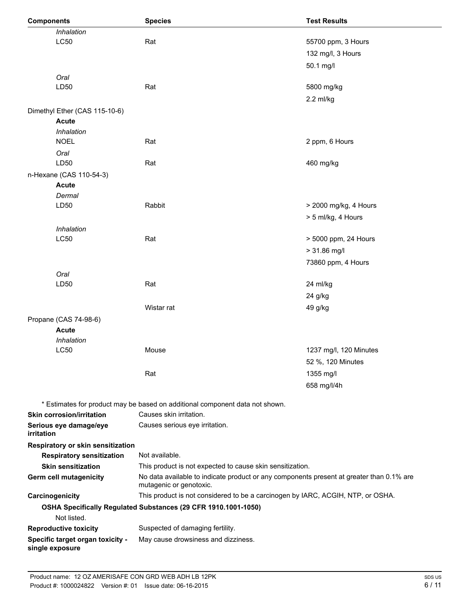| <b>Components</b> |                                   | <b>Species</b>                                                                                                      | <b>Test Results</b>    |  |
|-------------------|-----------------------------------|---------------------------------------------------------------------------------------------------------------------|------------------------|--|
|                   | Inhalation                        |                                                                                                                     |                        |  |
| <b>LC50</b>       |                                   | Rat                                                                                                                 | 55700 ppm, 3 Hours     |  |
|                   |                                   |                                                                                                                     | 132 mg/l, 3 Hours      |  |
|                   |                                   |                                                                                                                     | 50.1 mg/l              |  |
|                   | Oral                              |                                                                                                                     |                        |  |
|                   | LD50                              | Rat                                                                                                                 | 5800 mg/kg             |  |
|                   |                                   |                                                                                                                     | $2.2$ ml/kg            |  |
|                   | Dimethyl Ether (CAS 115-10-6)     |                                                                                                                     |                        |  |
|                   | <b>Acute</b>                      |                                                                                                                     |                        |  |
|                   | Inhalation                        |                                                                                                                     |                        |  |
|                   | <b>NOEL</b>                       | Rat                                                                                                                 | 2 ppm, 6 Hours         |  |
|                   | Oral                              |                                                                                                                     |                        |  |
|                   | LD50                              | Rat                                                                                                                 | 460 mg/kg              |  |
|                   | n-Hexane (CAS 110-54-3)           |                                                                                                                     |                        |  |
|                   | <b>Acute</b>                      |                                                                                                                     |                        |  |
|                   | Dermal                            |                                                                                                                     |                        |  |
|                   | LD50                              | Rabbit                                                                                                              | > 2000 mg/kg, 4 Hours  |  |
|                   |                                   |                                                                                                                     | > 5 ml/kg, 4 Hours     |  |
|                   | Inhalation                        |                                                                                                                     |                        |  |
|                   | <b>LC50</b>                       | Rat                                                                                                                 | > 5000 ppm, 24 Hours   |  |
|                   |                                   |                                                                                                                     | $> 31.86$ mg/l         |  |
|                   |                                   |                                                                                                                     | 73860 ppm, 4 Hours     |  |
|                   | Oral                              |                                                                                                                     |                        |  |
|                   | LD50                              | Rat                                                                                                                 | 24 ml/kg               |  |
|                   |                                   |                                                                                                                     | 24 g/kg                |  |
|                   |                                   | Wistar rat                                                                                                          | 49 g/kg                |  |
|                   | Propane (CAS 74-98-6)             |                                                                                                                     |                        |  |
|                   | <b>Acute</b>                      |                                                                                                                     |                        |  |
|                   | Inhalation                        |                                                                                                                     |                        |  |
|                   | <b>LC50</b>                       | Mouse                                                                                                               | 1237 mg/l, 120 Minutes |  |
|                   |                                   |                                                                                                                     | 52 %, 120 Minutes      |  |
|                   |                                   | Rat                                                                                                                 | 1355 mg/l              |  |
|                   |                                   |                                                                                                                     | 658 mg/l/4h            |  |
|                   |                                   | * Estimates for product may be based on additional component data not shown.                                        |                        |  |
|                   | <b>Skin corrosion/irritation</b>  | Causes skin irritation.                                                                                             |                        |  |
|                   | Serious eye damage/eye            | Causes serious eye irritation.                                                                                      |                        |  |
| irritation        |                                   |                                                                                                                     |                        |  |
|                   | Respiratory or skin sensitization |                                                                                                                     |                        |  |
|                   | <b>Respiratory sensitization</b>  | Not available.                                                                                                      |                        |  |
|                   | <b>Skin sensitization</b>         | This product is not expected to cause skin sensitization.                                                           |                        |  |
|                   | <b>Germ cell mutagenicity</b>     | No data available to indicate product or any components present at greater than 0.1% are<br>mutagenic or genotoxic. |                        |  |
|                   | Carcinogenicity                   | This product is not considered to be a carcinogen by IARC, ACGIH, NTP, or OSHA.                                     |                        |  |
|                   | Not listed.                       | OSHA Specifically Regulated Substances (29 CFR 1910.1001-1050)                                                      |                        |  |
|                   | <b>Reproductive toxicity</b>      | Suspected of damaging fertility.                                                                                    |                        |  |
|                   | Specific target organ toxicity -  | May cause drowsiness and dizziness.                                                                                 |                        |  |
|                   | single exposure                   |                                                                                                                     |                        |  |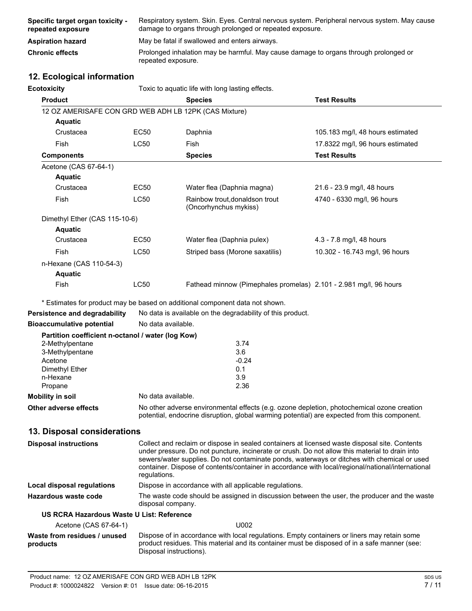| Specific target organ toxicity -<br>repeated exposure | Respiratory system. Skin. Eyes. Central nervous system. Peripheral nervous system. May cause<br>damage to organs through prolonged or repeated exposure. |
|-------------------------------------------------------|----------------------------------------------------------------------------------------------------------------------------------------------------------|
| <b>Aspiration hazard</b>                              | May be fatal if swallowed and enters airways.                                                                                                            |
| <b>Chronic effects</b>                                | Prolonged inhalation may be harmful. May cause damage to organs through prolonged or<br>repeated exposure.                                               |

## **12. Ecological information**

| <b>Ecotoxicity</b>                                    |                                                                                                                                                                                                                                                                                                                                                                                                                     | Toxic to aquatic life with long lasting effects.                             |                                  |  |  |
|-------------------------------------------------------|---------------------------------------------------------------------------------------------------------------------------------------------------------------------------------------------------------------------------------------------------------------------------------------------------------------------------------------------------------------------------------------------------------------------|------------------------------------------------------------------------------|----------------------------------|--|--|
| <b>Product</b>                                        |                                                                                                                                                                                                                                                                                                                                                                                                                     | <b>Species</b>                                                               | <b>Test Results</b>              |  |  |
| 12 OZ AMERISAFE CON GRD WEB ADH LB 12PK (CAS Mixture) |                                                                                                                                                                                                                                                                                                                                                                                                                     |                                                                              |                                  |  |  |
| <b>Aquatic</b>                                        |                                                                                                                                                                                                                                                                                                                                                                                                                     |                                                                              |                                  |  |  |
| Crustacea                                             | EC50                                                                                                                                                                                                                                                                                                                                                                                                                | Daphnia                                                                      | 105.183 mg/l, 48 hours estimated |  |  |
| Fish                                                  | <b>LC50</b>                                                                                                                                                                                                                                                                                                                                                                                                         | Fish                                                                         | 17.8322 mg/l, 96 hours estimated |  |  |
| <b>Components</b>                                     |                                                                                                                                                                                                                                                                                                                                                                                                                     | <b>Species</b>                                                               | <b>Test Results</b>              |  |  |
| Acetone (CAS 67-64-1)                                 |                                                                                                                                                                                                                                                                                                                                                                                                                     |                                                                              |                                  |  |  |
| <b>Aquatic</b>                                        |                                                                                                                                                                                                                                                                                                                                                                                                                     |                                                                              |                                  |  |  |
| Crustacea                                             | EC50                                                                                                                                                                                                                                                                                                                                                                                                                | Water flea (Daphnia magna)                                                   | 21.6 - 23.9 mg/l, 48 hours       |  |  |
| Fish                                                  | LC50                                                                                                                                                                                                                                                                                                                                                                                                                | Rainbow trout, donaldson trout<br>(Oncorhynchus mykiss)                      | 4740 - 6330 mg/l, 96 hours       |  |  |
| Dimethyl Ether (CAS 115-10-6)                         |                                                                                                                                                                                                                                                                                                                                                                                                                     |                                                                              |                                  |  |  |
| <b>Aquatic</b>                                        |                                                                                                                                                                                                                                                                                                                                                                                                                     |                                                                              |                                  |  |  |
| Crustacea                                             | <b>EC50</b>                                                                                                                                                                                                                                                                                                                                                                                                         | Water flea (Daphnia pulex)                                                   | 4.3 - 7.8 mg/l, 48 hours         |  |  |
| Fish                                                  | <b>LC50</b>                                                                                                                                                                                                                                                                                                                                                                                                         | Striped bass (Morone saxatilis)                                              | 10.302 - 16.743 mg/l, 96 hours   |  |  |
| n-Hexane (CAS 110-54-3)                               |                                                                                                                                                                                                                                                                                                                                                                                                                     |                                                                              |                                  |  |  |
| <b>Aquatic</b>                                        |                                                                                                                                                                                                                                                                                                                                                                                                                     |                                                                              |                                  |  |  |
| <b>Fish</b>                                           | <b>LC50</b>                                                                                                                                                                                                                                                                                                                                                                                                         | Fathead minnow (Pimephales promelas) 2.101 - 2.981 mg/l, 96 hours            |                                  |  |  |
|                                                       |                                                                                                                                                                                                                                                                                                                                                                                                                     | * Estimates for product may be based on additional component data not shown. |                                  |  |  |
| Persistence and degradability                         |                                                                                                                                                                                                                                                                                                                                                                                                                     | No data is available on the degradability of this product.                   |                                  |  |  |
| <b>Bioaccumulative potential</b>                      | No data available.                                                                                                                                                                                                                                                                                                                                                                                                  |                                                                              |                                  |  |  |
| Partition coefficient n-octanol / water (log Kow)     |                                                                                                                                                                                                                                                                                                                                                                                                                     |                                                                              |                                  |  |  |
| 2-Methylpentane<br>3-Methylpentane                    |                                                                                                                                                                                                                                                                                                                                                                                                                     | 3.74<br>3.6                                                                  |                                  |  |  |
| Acetone                                               | $-0.24$                                                                                                                                                                                                                                                                                                                                                                                                             |                                                                              |                                  |  |  |
| Dimethyl Ether                                        | 0.1                                                                                                                                                                                                                                                                                                                                                                                                                 |                                                                              |                                  |  |  |
| n-Hexane<br>Propane                                   | 3.9                                                                                                                                                                                                                                                                                                                                                                                                                 |                                                                              |                                  |  |  |
| <b>Mobility in soil</b>                               | 2.36<br>No data available.                                                                                                                                                                                                                                                                                                                                                                                          |                                                                              |                                  |  |  |
| <b>Other adverse effects</b>                          | No other adverse environmental effects (e.g. ozone depletion, photochemical ozone creation                                                                                                                                                                                                                                                                                                                          |                                                                              |                                  |  |  |
|                                                       | potential, endocrine disruption, global warming potential) are expected from this component.                                                                                                                                                                                                                                                                                                                        |                                                                              |                                  |  |  |
| 13. Disposal considerations                           |                                                                                                                                                                                                                                                                                                                                                                                                                     |                                                                              |                                  |  |  |
| <b>Disposal instructions</b>                          | Collect and reclaim or dispose in sealed containers at licensed waste disposal site. Contents<br>under pressure. Do not puncture, incinerate or crush. Do not allow this material to drain into<br>sewers/water supplies. Do not contaminate ponds, waterways or ditches with chemical or used<br>container. Dispose of contents/container in accordance with local/regional/national/international<br>regulations. |                                                                              |                                  |  |  |

**Local disposal regulations** Dispose in accordance with all applicable regulations.

**Hazardous waste code** The waste code should be assigned in discussion between the user, the producer and the waste disposal company.

## **US RCRA Hazardous Waste U List: Reference**

| Acetone (CAS 67-64-1)                    | U002                                                                                                                                                                                                                   |
|------------------------------------------|------------------------------------------------------------------------------------------------------------------------------------------------------------------------------------------------------------------------|
| Waste from residues / unused<br>products | Dispose of in accordance with local regulations. Empty containers or liners may retain some<br>product residues. This material and its container must be disposed of in a safe manner (see:<br>Disposal instructions). |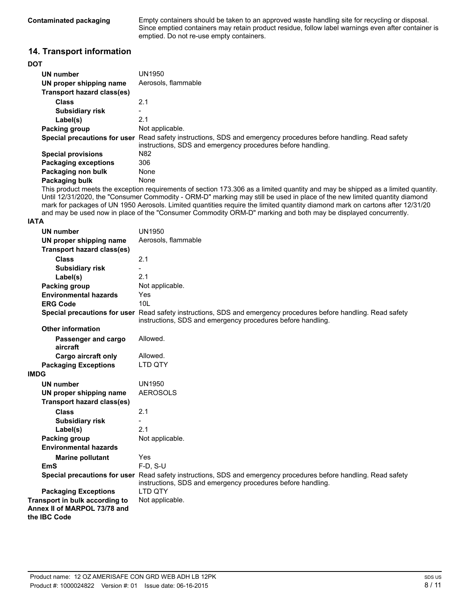**Contaminated packaging** Empty containers should be taken to an approved waste handling site for recycling or disposal. Since emptied containers may retain product residue, follow label warnings even after container is emptied. Do not re-use empty containers.

## **14. Transport information**

| <b>DOT</b>                  |                                                                                                                                                                                        |
|-----------------------------|----------------------------------------------------------------------------------------------------------------------------------------------------------------------------------------|
| UN number                   | UN1950                                                                                                                                                                                 |
| UN proper shipping name     | Aerosols, flammable                                                                                                                                                                    |
| Transport hazard class(es)  |                                                                                                                                                                                        |
| <b>Class</b>                | 2.1                                                                                                                                                                                    |
| <b>Subsidiary risk</b>      | Ξ.                                                                                                                                                                                     |
| Label(s)                    | 2.1                                                                                                                                                                                    |
| Packing group               | Not applicable.                                                                                                                                                                        |
|                             | <b>Special precautions for user</b> Read safety instructions, SDS and emergency procedures before handling. Read safety<br>instructions, SDS and emergency procedures before handling. |
| <b>Special provisions</b>   | N82                                                                                                                                                                                    |
| <b>Packaging exceptions</b> | 306                                                                                                                                                                                    |
| Packaging non bulk          | None                                                                                                                                                                                   |
| Packaging bulk              | None                                                                                                                                                                                   |

This product meets the exception requirements of section 173.306 as a limited quantity and may be shipped as a limited quantity. Until 12/31/2020, the "Consumer Commodity - ORM-D" marking may still be used in place of the new limited quantity diamond mark for packages of UN 1950 Aerosols. Limited quantities require the limited quantity diamond mark on cartons after 12/31/20 and may be used now in place of the "Consumer Commodity ORM-D" marking and both may be displayed concurrently.

#### **IATA**

| <b>UN number</b>                                                               | <b>UN1950</b>                                                                                                                                                                   |
|--------------------------------------------------------------------------------|---------------------------------------------------------------------------------------------------------------------------------------------------------------------------------|
| UN proper shipping name                                                        | Aerosols, flammable                                                                                                                                                             |
| <b>Transport hazard class(es)</b>                                              |                                                                                                                                                                                 |
| <b>Class</b>                                                                   | 2.1                                                                                                                                                                             |
| <b>Subsidiary risk</b>                                                         |                                                                                                                                                                                 |
| Label(s)                                                                       | 2.1                                                                                                                                                                             |
| <b>Packing group</b>                                                           | Not applicable.                                                                                                                                                                 |
| <b>Environmental hazards</b>                                                   | Yes                                                                                                                                                                             |
| <b>ERG Code</b>                                                                | 10 <sub>L</sub>                                                                                                                                                                 |
|                                                                                | Special precautions for user Read safety instructions, SDS and emergency procedures before handling. Read safety<br>instructions, SDS and emergency procedures before handling. |
| <b>Other information</b>                                                       |                                                                                                                                                                                 |
| Passenger and cargo<br>aircraft                                                | Allowed.                                                                                                                                                                        |
| Cargo aircraft only                                                            | Allowed.                                                                                                                                                                        |
| <b>Packaging Exceptions</b>                                                    | LTD QTY                                                                                                                                                                         |
| <b>IMDG</b>                                                                    |                                                                                                                                                                                 |
| <b>UN number</b>                                                               | <b>UN1950</b>                                                                                                                                                                   |
| UN proper shipping name                                                        | <b>AEROSOLS</b>                                                                                                                                                                 |
| <b>Transport hazard class(es)</b>                                              |                                                                                                                                                                                 |
| <b>Class</b>                                                                   | 2.1                                                                                                                                                                             |
| <b>Subsidiary risk</b>                                                         |                                                                                                                                                                                 |
| Label(s)                                                                       | 2.1                                                                                                                                                                             |
| <b>Packing group</b>                                                           | Not applicable.                                                                                                                                                                 |
| <b>Environmental hazards</b>                                                   |                                                                                                                                                                                 |
| <b>Marine pollutant</b>                                                        | Yes                                                                                                                                                                             |
| <b>EmS</b>                                                                     | $F-D$ , $S-U$                                                                                                                                                                   |
|                                                                                | Special precautions for user Read safety instructions, SDS and emergency procedures before handling. Read safety<br>instructions, SDS and emergency procedures before handling. |
| <b>Packaging Exceptions</b>                                                    | <b>LTD OTY</b>                                                                                                                                                                  |
| Transport in bulk according to<br>Annex II of MARPOL 73/78 and<br>the IBC Code | Not applicable.                                                                                                                                                                 |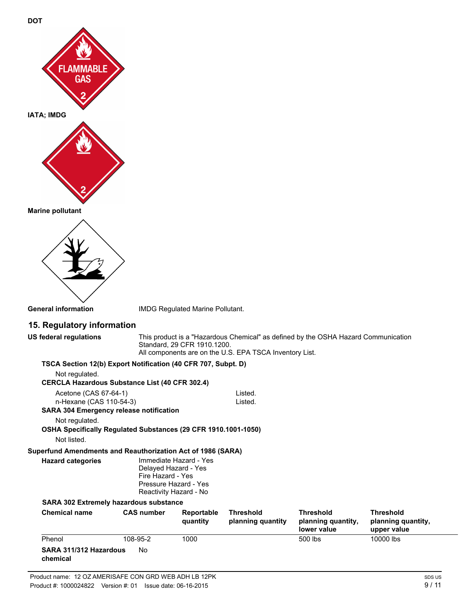





**General information** IMDG Regulated Marine Pollutant.

# **15. Regulatory information**

| <b>US federal regulations</b>                                                                      | This product is a "Hazardous Chemical" as defined by the OSHA Hazard Communication<br>Standard, 29 CFR 1910.1200.<br>All components are on the U.S. EPA TSCA Inventory List. |                                                                           |                                       |                                                       |                                                       |
|----------------------------------------------------------------------------------------------------|------------------------------------------------------------------------------------------------------------------------------------------------------------------------------|---------------------------------------------------------------------------|---------------------------------------|-------------------------------------------------------|-------------------------------------------------------|
| TSCA Section 12(b) Export Notification (40 CFR 707, Subpt. D)                                      |                                                                                                                                                                              |                                                                           |                                       |                                                       |                                                       |
| Not regulated.<br><b>CERCLA Hazardous Substance List (40 CFR 302.4)</b>                            |                                                                                                                                                                              |                                                                           |                                       |                                                       |                                                       |
| Acetone (CAS 67-64-1)<br>n-Hexane (CAS 110-54-3)<br><b>SARA 304 Emergency release notification</b> |                                                                                                                                                                              |                                                                           | Listed.<br>Listed.                    |                                                       |                                                       |
| Not regulated.<br>OSHA Specifically Regulated Substances (29 CFR 1910.1001-1050)                   |                                                                                                                                                                              |                                                                           |                                       |                                                       |                                                       |
| Not listed.                                                                                        |                                                                                                                                                                              |                                                                           |                                       |                                                       |                                                       |
| Superfund Amendments and Reauthorization Act of 1986 (SARA)                                        |                                                                                                                                                                              |                                                                           |                                       |                                                       |                                                       |
| <b>Hazard categories</b>                                                                           | Delayed Hazard - Yes<br>Fire Hazard - Yes                                                                                                                                    | Immediate Hazard - Yes<br>Pressure Hazard - Yes<br>Reactivity Hazard - No |                                       |                                                       |                                                       |
| <b>SARA 302 Extremely hazardous substance</b>                                                      |                                                                                                                                                                              |                                                                           |                                       |                                                       |                                                       |
| <b>Chemical name</b>                                                                               | <b>CAS number</b>                                                                                                                                                            | Reportable<br>quantity                                                    | <b>Threshold</b><br>planning quantity | <b>Threshold</b><br>planning quantity,<br>lower value | <b>Threshold</b><br>planning quantity,<br>upper value |
| Phenol                                                                                             | 108-95-2                                                                                                                                                                     | 1000                                                                      |                                       | 500 lbs                                               | 10000 lbs                                             |
| SARA 311/312 Hazardous<br>chemical                                                                 | <b>No</b>                                                                                                                                                                    |                                                                           |                                       |                                                       |                                                       |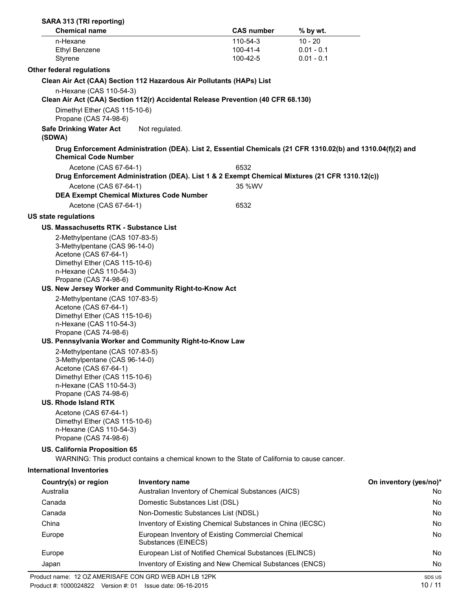| SARA 313 (TRI reporting)                                                                                                                                                                              |                                                                                                             |                      |                              |                        |
|-------------------------------------------------------------------------------------------------------------------------------------------------------------------------------------------------------|-------------------------------------------------------------------------------------------------------------|----------------------|------------------------------|------------------------|
| <b>Chemical name</b>                                                                                                                                                                                  |                                                                                                             | <b>CAS number</b>    | % by wt.                     |                        |
| n-Hexane                                                                                                                                                                                              |                                                                                                             | 110-54-3             | $10 - 20$                    |                        |
| <b>Ethyl Benzene</b><br>Styrene                                                                                                                                                                       |                                                                                                             | 100-41-4<br>100-42-5 | $0.01 - 0.1$<br>$0.01 - 0.1$ |                        |
| <b>Other federal regulations</b>                                                                                                                                                                      |                                                                                                             |                      |                              |                        |
|                                                                                                                                                                                                       | Clean Air Act (CAA) Section 112 Hazardous Air Pollutants (HAPs) List                                        |                      |                              |                        |
| n-Hexane (CAS 110-54-3)                                                                                                                                                                               | Clean Air Act (CAA) Section 112(r) Accidental Release Prevention (40 CFR 68.130)                            |                      |                              |                        |
| Dimethyl Ether (CAS 115-10-6)<br>Propane (CAS 74-98-6)                                                                                                                                                |                                                                                                             |                      |                              |                        |
| <b>Safe Drinking Water Act</b><br>(SDWA)                                                                                                                                                              | Not regulated.                                                                                              |                      |                              |                        |
| <b>Chemical Code Number</b>                                                                                                                                                                           | Drug Enforcement Administration (DEA). List 2, Essential Chemicals (21 CFR 1310.02(b) and 1310.04(f)(2) and |                      |                              |                        |
| Acetone (CAS 67-64-1)                                                                                                                                                                                 | Drug Enforcement Administration (DEA). List 1 & 2 Exempt Chemical Mixtures (21 CFR 1310.12(c))              | 6532                 |                              |                        |
| Acetone (CAS 67-64-1)                                                                                                                                                                                 | <b>DEA Exempt Chemical Mixtures Code Number</b>                                                             | 35 %WV               |                              |                        |
| Acetone (CAS 67-64-1)                                                                                                                                                                                 |                                                                                                             | 6532                 |                              |                        |
| <b>US state regulations</b>                                                                                                                                                                           |                                                                                                             |                      |                              |                        |
| US. Massachusetts RTK - Substance List                                                                                                                                                                |                                                                                                             |                      |                              |                        |
| 2-Methylpentane (CAS 107-83-5)<br>3-Methylpentane (CAS 96-14-0)<br>Acetone (CAS 67-64-1)<br>Dimethyl Ether (CAS 115-10-6)<br>n-Hexane (CAS 110-54-3)<br>Propane (CAS 74-98-6)                         |                                                                                                             |                      |                              |                        |
|                                                                                                                                                                                                       | US. New Jersey Worker and Community Right-to-Know Act                                                       |                      |                              |                        |
| 2-Methylpentane (CAS 107-83-5)<br>Acetone (CAS 67-64-1)<br>Dimethyl Ether (CAS 115-10-6)<br>n-Hexane (CAS 110-54-3)<br>Propane (CAS 74-98-6)                                                          |                                                                                                             |                      |                              |                        |
|                                                                                                                                                                                                       | US. Pennsylvania Worker and Community Right-to-Know Law                                                     |                      |                              |                        |
| 2-Methylpentane (CAS 107-83-5)<br>3-Methylpentane (CAS 96-14-0)<br>Acetone (CAS 67-64-1)<br>Dimethyl Ether (CAS 115-10-6)<br>n-Hexane (CAS 110-54-3)<br>Propane (CAS 74-98-6)<br>US. Rhode Island RTK |                                                                                                             |                      |                              |                        |
| Acetone (CAS 67-64-1)<br>Dimethyl Ether (CAS 115-10-6)<br>n-Hexane (CAS 110-54-3)<br>Propane (CAS 74-98-6)                                                                                            |                                                                                                             |                      |                              |                        |
| <b>US. California Proposition 65</b>                                                                                                                                                                  | WARNING: This product contains a chemical known to the State of California to cause cancer.                 |                      |                              |                        |
| <b>International Inventories</b>                                                                                                                                                                      |                                                                                                             |                      |                              |                        |
| Country(s) or region                                                                                                                                                                                  | Inventory name                                                                                              |                      |                              | On inventory (yes/no)* |
| Australia                                                                                                                                                                                             | Australian Inventory of Chemical Substances (AICS)                                                          |                      |                              | No.                    |
| Canada                                                                                                                                                                                                | Domestic Substances List (DSL)                                                                              |                      |                              | No.                    |
| Canada                                                                                                                                                                                                | Non-Domestic Substances List (NDSL)                                                                         |                      |                              | No.                    |
| China                                                                                                                                                                                                 | Inventory of Existing Chemical Substances in China (IECSC)                                                  |                      |                              | No                     |
| Europe                                                                                                                                                                                                | European Inventory of Existing Commercial Chemical<br>Substances (EINECS)                                   |                      |                              | No                     |
| Europe                                                                                                                                                                                                | European List of Notified Chemical Substances (ELINCS)                                                      |                      |                              | No.                    |
| Japan                                                                                                                                                                                                 | Inventory of Existing and New Chemical Substances (ENCS)                                                    |                      |                              | No                     |
| Product name: 12 OZ AMERISAFE CON GRD WEB ADH LB 12PK                                                                                                                                                 |                                                                                                             |                      |                              | SDS US                 |